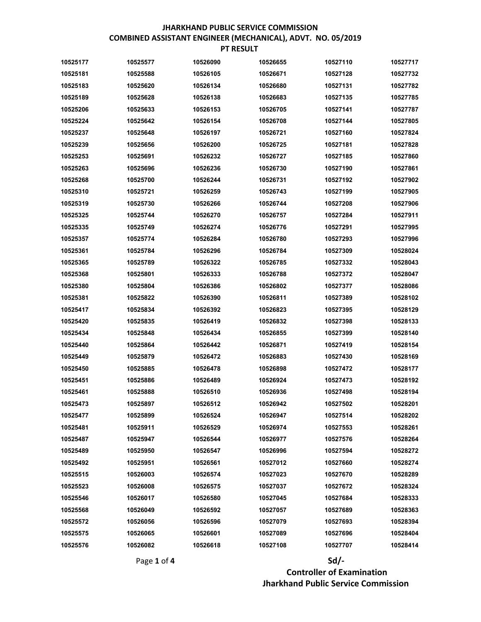| 10525177 | 10525577 | 10526090 | 10526655 | 10527110 | 10527717 |
|----------|----------|----------|----------|----------|----------|
| 10525181 | 10525588 | 10526105 | 10526671 | 10527128 | 10527732 |
| 10525183 | 10525620 | 10526134 | 10526680 | 10527131 | 10527782 |
| 10525189 | 10525628 | 10526138 | 10526683 | 10527135 | 10527785 |
| 10525206 | 10525633 | 10526153 | 10526705 | 10527141 | 10527787 |
| 10525224 | 10525642 | 10526154 | 10526708 | 10527144 | 10527805 |
| 10525237 | 10525648 | 10526197 | 10526721 | 10527160 | 10527824 |
| 10525239 | 10525656 | 10526200 | 10526725 | 10527181 | 10527828 |
| 10525253 | 10525691 | 10526232 | 10526727 | 10527185 | 10527860 |
| 10525263 | 10525696 | 10526236 | 10526730 | 10527190 | 10527861 |
| 10525268 | 10525700 | 10526244 | 10526731 | 10527192 | 10527902 |
| 10525310 | 10525721 | 10526259 | 10526743 | 10527199 | 10527905 |
| 10525319 | 10525730 | 10526266 | 10526744 | 10527208 | 10527906 |
| 10525325 | 10525744 | 10526270 | 10526757 | 10527284 | 10527911 |
| 10525335 | 10525749 | 10526274 | 10526776 | 10527291 | 10527995 |
| 10525357 | 10525774 | 10526284 | 10526780 | 10527293 | 10527996 |
| 10525361 | 10525784 | 10526296 | 10526784 | 10527309 | 10528024 |
| 10525365 | 10525789 | 10526322 | 10526785 | 10527332 | 10528043 |
| 10525368 | 10525801 | 10526333 | 10526788 | 10527372 | 10528047 |
| 10525380 | 10525804 | 10526386 | 10526802 | 10527377 | 10528086 |
| 10525381 | 10525822 | 10526390 | 10526811 | 10527389 | 10528102 |
| 10525417 | 10525834 | 10526392 | 10526823 | 10527395 | 10528129 |
| 10525420 | 10525835 | 10526419 | 10526832 | 10527398 | 10528133 |
| 10525434 | 10525848 | 10526434 | 10526855 | 10527399 | 10528140 |
| 10525440 | 10525864 | 10526442 | 10526871 | 10527419 | 10528154 |
| 10525449 | 10525879 | 10526472 | 10526883 | 10527430 | 10528169 |
| 10525450 | 10525885 | 10526478 | 10526898 | 10527472 | 10528177 |
| 10525451 | 10525886 | 10526489 | 10526924 | 10527473 | 10528192 |
| 10525461 | 10525888 | 10526510 | 10526936 | 10527498 | 10528194 |
| 10525473 | 10525897 | 10526512 | 10526942 | 10527502 | 10528201 |
| 10525477 | 10525899 | 10526524 | 10526947 | 10527514 | 10528202 |
| 10525481 | 10525911 | 10526529 | 10526974 | 10527553 | 10528261 |
| 10525487 | 10525947 | 10526544 | 10526977 | 10527576 | 10528264 |
| 10525489 | 10525950 | 10526547 | 10526996 | 10527594 | 10528272 |
| 10525492 | 10525951 | 10526561 | 10527012 | 10527660 | 10528274 |
| 10525515 | 10526003 | 10526574 | 10527023 | 10527670 | 10528289 |
| 10525523 | 10526008 | 10526575 | 10527037 | 10527672 | 10528324 |
| 10525546 | 10526017 | 10526580 | 10527045 | 10527684 | 10528333 |
| 10525568 | 10526049 | 10526592 | 10527057 | 10527689 | 10528363 |
| 10525572 | 10526056 | 10526596 | 10527079 | 10527693 | 10528394 |
| 10525575 | 10526065 | 10526601 | 10527089 | 10527696 | 10528404 |
| 10525576 | 10526082 | 10526618 | 10527108 | 10527707 | 10528414 |

# Page 1 of 4 Sd/- Controller of Examination Jharkhand Public Service Commission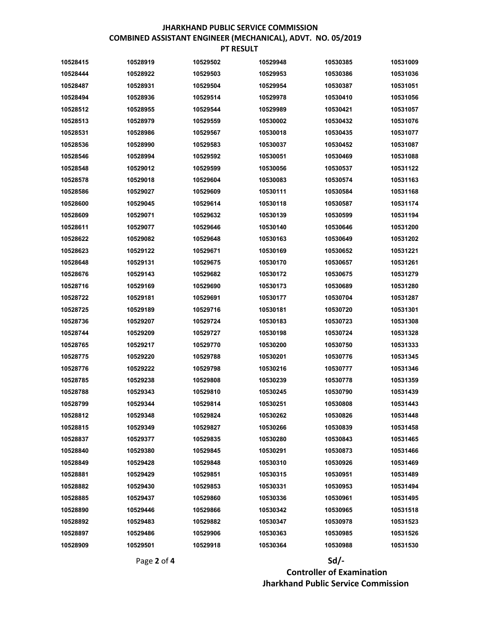## Page 2 of 4  $Sd$  Controller of Examination Jharkhand Public Service Commission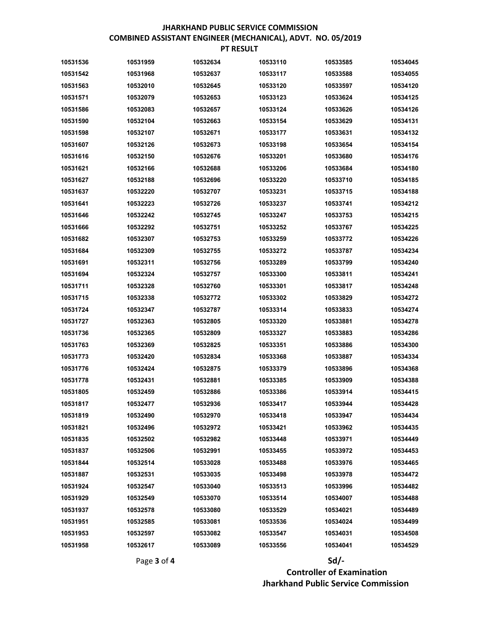| 10531536 | 10531959 | 10532634 | 10533110 | 10533585 | 10534045 |
|----------|----------|----------|----------|----------|----------|
| 10531542 | 10531968 | 10532637 | 10533117 | 10533588 | 10534055 |
| 10531563 | 10532010 | 10532645 | 10533120 | 10533597 | 10534120 |
| 10531571 | 10532079 | 10532653 | 10533123 | 10533624 | 10534125 |
| 10531586 | 10532083 | 10532657 | 10533124 | 10533626 | 10534126 |
| 10531590 | 10532104 | 10532663 | 10533154 | 10533629 | 10534131 |
| 10531598 | 10532107 | 10532671 | 10533177 | 10533631 | 10534132 |
| 10531607 | 10532126 | 10532673 | 10533198 | 10533654 | 10534154 |
| 10531616 | 10532150 | 10532676 | 10533201 | 10533680 | 10534176 |
| 10531621 | 10532166 | 10532688 | 10533206 | 10533684 | 10534180 |
| 10531627 | 10532188 | 10532696 | 10533220 | 10533710 | 10534185 |
| 10531637 | 10532220 | 10532707 | 10533231 | 10533715 | 10534188 |
| 10531641 | 10532223 | 10532726 | 10533237 | 10533741 | 10534212 |
| 10531646 | 10532242 | 10532745 | 10533247 | 10533753 | 10534215 |
| 10531666 | 10532292 | 10532751 | 10533252 | 10533767 | 10534225 |
| 10531682 | 10532307 | 10532753 | 10533259 | 10533772 | 10534226 |
| 10531684 | 10532309 | 10532755 | 10533272 | 10533787 | 10534234 |
| 10531691 | 10532311 | 10532756 | 10533289 | 10533799 | 10534240 |
| 10531694 | 10532324 | 10532757 | 10533300 | 10533811 | 10534241 |
| 10531711 | 10532328 | 10532760 | 10533301 | 10533817 | 10534248 |
| 10531715 | 10532338 | 10532772 | 10533302 | 10533829 | 10534272 |
| 10531724 | 10532347 | 10532787 | 10533314 | 10533833 | 10534274 |
| 10531727 | 10532363 | 10532805 | 10533320 | 10533881 | 10534278 |
| 10531736 | 10532365 | 10532809 | 10533327 | 10533883 | 10534286 |
| 10531763 | 10532369 | 10532825 | 10533351 | 10533886 | 10534300 |
| 10531773 | 10532420 | 10532834 | 10533368 | 10533887 | 10534334 |
| 10531776 | 10532424 | 10532875 | 10533379 | 10533896 | 10534368 |
| 10531778 | 10532431 | 10532881 | 10533385 | 10533909 | 10534388 |
| 10531805 | 10532459 | 10532886 | 10533386 | 10533914 | 10534415 |
| 10531817 | 10532477 | 10532936 | 10533417 | 10533944 | 10534428 |
| 10531819 | 10532490 | 10532970 | 10533418 | 10533947 | 10534434 |
| 10531821 | 10532496 | 10532972 | 10533421 | 10533962 | 10534435 |
| 10531835 | 10532502 | 10532982 | 10533448 | 10533971 | 10534449 |
| 10531837 | 10532506 | 10532991 | 10533455 | 10533972 | 10534453 |
| 10531844 | 10532514 | 10533028 | 10533488 | 10533976 | 10534465 |
| 10531887 | 10532531 | 10533035 | 10533498 | 10533978 | 10534472 |
| 10531924 | 10532547 | 10533040 | 10533513 | 10533996 | 10534482 |
| 10531929 | 10532549 | 10533070 | 10533514 | 10534007 | 10534488 |
| 10531937 | 10532578 | 10533080 | 10533529 | 10534021 | 10534489 |
| 10531951 | 10532585 | 10533081 | 10533536 | 10534024 | 10534499 |
| 10531953 | 10532597 | 10533082 | 10533547 | 10534031 | 10534508 |
| 10531958 | 10532617 | 10533089 | 10533556 | 10534041 | 10534529 |

# Page 3 of 4 Sd/- Controller of Examination Jharkhand Public Service Commission